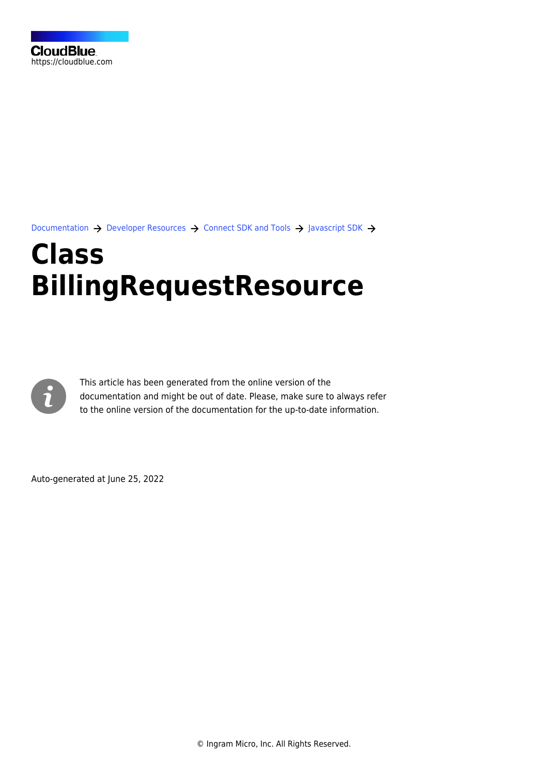[Documentation](https://connect.cloudblue.com/documentation)  $\rightarrow$  [Developer Resources](https://connect.cloudblue.com/community/developers/)  $\rightarrow$  [Connect SDK and Tools](https://connect.cloudblue.com/community/developers/sdk/)  $\rightarrow$  [Javascript SDK](https://connect.cloudblue.com/community/developers/sdk/javascript-sdk/)  $\rightarrow$ 

## **[Class](https://connect.cloudblue.com/community/developers/sdk/javascript-sdk/class-billingrequestresource/) [BillingRequestResource](https://connect.cloudblue.com/community/developers/sdk/javascript-sdk/class-billingrequestresource/)**



This article has been generated from the online version of the documentation and might be out of date. Please, make sure to always refer to the online version of the documentation for the up-to-date information.

Auto-generated at June 25, 2022